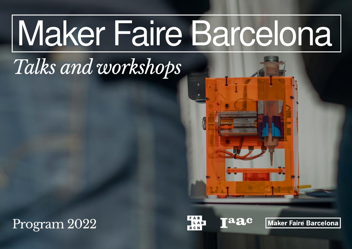## Maker Faire Barcelona

## *Talks and workshops*

Program 2022

**aac** LAB

Maker Faire Barcelona